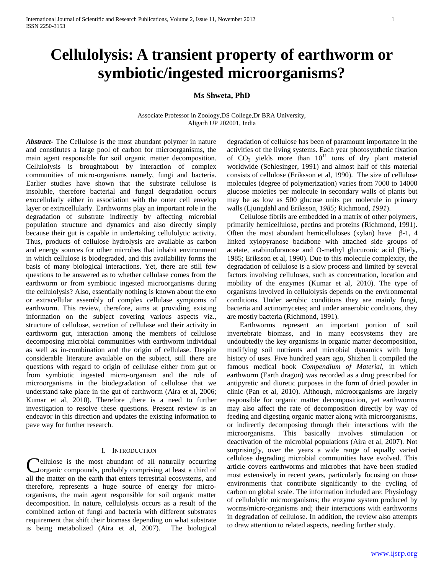# **Cellulolysis: A transient property of earthworm or symbiotic/ingested microorganisms?**

# **Ms Shweta, PhD**

# Associate Professor in Zoology,DS College,Dr BRA University, Aligarh UP 202001, India

*Abstract***-** The Cellulose is the most abundant polymer in nature and constitutes a large pool of carbon for microorganisms, the main agent responsible for soil organic matter decomposition. Cellulolysis is broughtabout by interaction of complex communities of micro-organisms namely, fungi and bacteria. Earlier studies have shown that the substrate cellulose is insoluble, therefore bacterial and fungal degradation occurs exocellularly either in association with the outer cell envelop layer or extracellularly. Earthworms play an important role in the degradation of substrate indirectly by affecting microbial population structure and dynamics and also directly simply because their gut is capable in undertaking cellulolytic activity. Thus, products of cellulose hydrolysis are available as carbon and energy sources for other microbes that inhabit environment in which cellulose is biodegraded, and this availability forms the basis of many biological interactions. Yet, there are still few questions to be answered as to whether cellulase comes from the earthworm or from symbiotic ingested microorganisms during the cellulolysis? Also, essentially nothing is known about the exo or extracellular assembly of complex cellulase symptoms of earthworm. This review, therefore, aims at providing existing information on the subject covering various aspects viz., structure of cellulose, secretion of cellulase and their activity in earthworm gut, interaction among the members of cellulose decomposing microbial communities with earthworm individual as well as in-combination and the origin of cellulase. Despite considerable literature available on the subject, still there are questions with regard to origin of cellulase either from gut or from symbiotic ingested micro-organism and the role of microorganisms in the biodegradation of cellulose that we understand take place in the gut of earthworm (Aira et al, 2006; Kumar et al, 2010). Therefore ,there is a need to further investigation to resolve these questions. Present review is an endeavor in this direction and updates the existing information to pave way for further research.

# I. INTRODUCTION

ellulose is the most abundant of all naturally occurring organic compounds, probably comprising at least a third of all the matter on the earth that enters terrestrial ecosystems, and therefore, represents a huge source of energy for microorganisms, the main agent responsible for soil organic matter decomposition. In nature, cellulolysis occurs as a result of the combined action of fungi and bacteria with different substrates requirement that shift their biomass depending on what substrate is being metabolized (Aira et al, 2007). The biological C

degradation of cellulose has been of paramount importance in the activities of the living systems. Each year photosynthetic fixation of  $CO<sub>2</sub>$  yields more than  $10<sup>11</sup>$  tons of dry plant material worldwide (Schlesinger, 1991) and almost half of this material consists of cellulose (Eriksson et al, 1990). The size of cellulose molecules (degree of polymerization) varies from 7000 to 14000 glucose moieties per molecule in secondary walls of plants but may be as low as 500 glucose units per molecule in primary walls (Ljungdahl and Eriksson*, 1985;* Richmond*, 1991*).

 Cellulose fibrils are embedded in a matrix of other polymers, primarily hemicellulose, pectins and proteins (Richmond, 1991). Often the most abundant hemicelluloses (xylan) have β-1, 4 linked xylopyranose backbone with attached side groups of acetate, arabinofuranose and O-methyl glucuronic acid (Biely, 1985; Eriksson et al, 1990). Due to this molecule complexity, the degradation of cellulose is a slow process and limited by several factors involving celluloses, such as concentration, location and mobility of the enzymes (Kumar et al*,* 2010). The type of organisms involved in cellulolysis depends on the environmental conditions. Under aerobic conditions they are mainly fungi, bacteria and actinomycetes; and under anaerobic conditions, they are mostly bacteria (Richmond, 1991).

 Earthworms represent an important portion of soil invertebrate biomass, and in many ecosystems they are undoubtedly the key organisms in organic matter decomposition, modifying soil nutrients and microbial dynamics with long history of uses. Five hundred years ago, Shizhen li compiled the famous medical book *Compendium of Material,* in which earthworm (Earth dragon) was recorded as a drug prescribed for antipyretic and diuretic purposes in the form of dried powder in clinic (Pan et al, 2010). Although, microorganisms are largely responsible for organic matter decomposition, yet earthworms may also affect the rate of decomposition directly by way of feeding and digesting organic matter along with microorganisms, or indirectly decomposing through their interactions with the microorganisms. This basically involves stimulation or deactivation of the microbial populations (Aira et al, 2007). Not surprisingly, over the years a wide range of equally varied cellulose degrading microbial communities have evolved. This article covers earthworms and microbes that have been studied most extensively in recent years, particularly focusing on those environments that contribute significantly to the cycling of carbon on global scale. The information included are: Physiology of cellulolytic microorganisms; the enzyme system produced by worms/micro-organisms and; their interactions with earthworms in degradation of cellulose. In addition, the review also attempts to draw attention to related aspects, needing further study.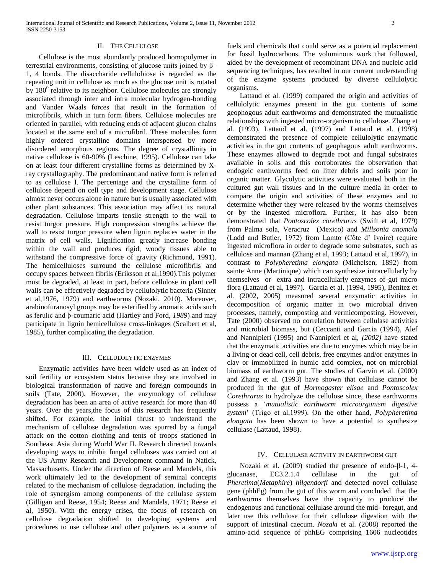# II. THE CELLULOSE

 Cellulose is the most abundantly produced homopolymer in terrestrial environments, consisting of glucose units joined by β– 1, 4 bonds. The disaccharide cellulobiose is regarded as the repeating unit in cellulose as much as the glucose unit is rotated by  $180^{\circ}$  relative to its neighbor. Cellulose molecules are strongly associated through inter and intra molecular hydrogen-bonding and Vander Waals forces that result in the formation of microfibrils, which in turn form fibers. Cellulose molecules are oriented in parallel, with reducing ends of adjacent glucon chains located at the same end of a microfibril. These molecules form highly ordered crystalline domains interspersed by more disordered amorphous regions. The degree of crystallinity in native cellulose is 60-90% (Leschine, 1995). Cellulose can take on at least four different crystalline forms as determined by Xray crystallography. The predominant and native form is referred to as cellulose I. The percentage and the crystalline form of cellulose depend on cell type and development stage. Cellulose almost never occurs alone in nature but is usually associated with other plant substances. This association may affect its natural degradation. Cellulose imparts tensile strength to the wall to resist turgor pressure. High compression strengths achieve the wall to resist turgor pressure when lignin replaces water in the matrix of cell walls. Lignification greatly increase bonding within the wall and produces rigid, woody tissues able to withstand the compressive force of gravity (Richmond, 1991). The hemicelluloses surround the cellulose microfibrils and occupy spaces between fibrils (Eriksson et al*,*1990).This polymer must be degraded, at least in part, before cellulose in plant cell walls can be effectively degraded by cellulolytic bacteria (Sinner et al*,*1976, 1979) and earthworms (Nozaki, 2010). Moreover, arabinofuranosyl groups may be esterified by aromatic acids such as ferulic and ϸ-coumaric acid (Hartley and Ford, *1989*) and may participate in lignin hemicellulose cross-linkages (Scalbert et al, 1985), further complicating the degradation.

# III. CELLULOLYTIC ENZYMES

 Enzymatic activities have been widely used as an index of soil fertility or ecosystem status because they are involved in biological transformation of native and foreign compounds in soils (Tate, 2000). However, the enzymology of cellulose degradation has been an area of active research for more than 40 years. Over the years,the focus of this research has frequently shifted. For example, the initial thrust to understand the mechanism of cellulose degradation was spurred by a fungal attack on the cotton clothing and tents of troops stationed in Southeast Asia during World War II. Research directed towards developing ways to inhibit fungal celluloses was carried out at the US Army Research and Development command in Natick, Massachusetts. Under the direction of Reese and Mandels, this work ultimately led to the development of seminal concepts related to the mechanism of cellulose degradation, including the role of synergism among components of the cellulase system (Gilligan and Reese, 1954; Reese and Mandels, 1971; Reese et al, 1950). With the energy crises, the focus of research on cellulose degradation shifted to developing systems and procedures to use cellulose and other polymers as a source of

fuels and chemicals that could serve as a potential replacement for fossil hydrocarbons. The voluminous work that followed, aided by the development of recombinant DNA and nucleic acid sequencing techniques, has resulted in our current understanding of the enzyme systems produced by diverse cellulolytic organisms.

 Lattaud et al. (1999) compared the origin and activities of cellulolytic enzymes present in the gut contents of some geophogous adult earthworms and demonstrated the mutualistic relationships with ingested micro-organism to cellulose. Zhang et al. (1993), Lattaud et al. (1997) and Lattaud et al. (1998) demonstrated the presence of complete cellulolytic enzymatic activities in the gut contents of geophagous adult earthworms. These enzymes allowed to degrade root and fungal substrates available in soils and this corroborates the observation that endogeic earthworms feed on litter debris and soils poor in organic matter. Glycolytic activities were evaluated both in the cultured gut wall tissues and in the culture media in order to compare the origin and activities of these enzymes and to determine whether they were released by the worms themselves or by the ingested microflora. Further, it has also been demonstrated that *Pontoscolex corethrurus* (Swift et al, 1979) from Palma sola, Veracruz (Mexico) and *Millsonia anomala* (Ladd and Butler, 1972) from Lamto (Côte d' Ivoire) require ingested microflora in order to degrade some substrates, such as cellulose and mannan (Zhang et al, 1993; Lattaud et al, 1997), in contrast to *Polypheretima elongata* (Michelsen, 1892) from sainte Anne (Martinique) which can synthesize intracellularly by themselves or extra and intracellularly enzymes of gut micro flora (Lattaud et al, 1997). Garcia et al. (1994, 1995), Benitez et al. (2002, 2005) measured several enzymatic activities in decomposition of organic matter in two microbial driven processes, namely, composting and vermicomposting. However, Tate (2000) observed no correlation between cellulase activities and microbial biomass, but (Ceccanti and Garcia (1994), Alef and Nannipieri (1995) and Nannipieri et al, *(2002)* have stated that the enzymatic activities are due to enzymes which may be in a living or dead cell, cell debris, free enzymes and/or enzymes in clay or immobilized in humic acid complex, not on microbial biomass of earthworm gut. The studies of Garvin et al. (2000) and Zhang et al. (1993) have shown that cellulase cannot be produced in the gut of *Hormogaster elisae* and *Pontoscolex Corethrarus* to hydrolyze the cellulose since, these earthworms possess a '*mutualistic earthworm microorganism digestive system*' (Trigo et al,1999). On the other hand, *Polypheretima elongata* has been shown to have a potential to synthesize cellulase (Lattaud, 1998).

#### IV. CELLULASE ACTIVITY IN EARTHWORM GUT

 Nozaki et al. (2009) studied the presence of endo-β-1, 4 glucanase, EC3.2.1.4 cellulase in the gut of *Pheretima*(*Metaphire*) *hilgendorfi* and detected novel cellulase gene (phhEg) from the gut of this worm and concluded that the earthworms themselves have the capacity to produce the endogenous and functional cellulase around the mid- foregut, and later use this cellulose for their cellulose digestion with the support of intestinal caecum. *Nozaki* et al. (2008) reported the amino-acid sequence of phhEG comprising 1606 nucleotides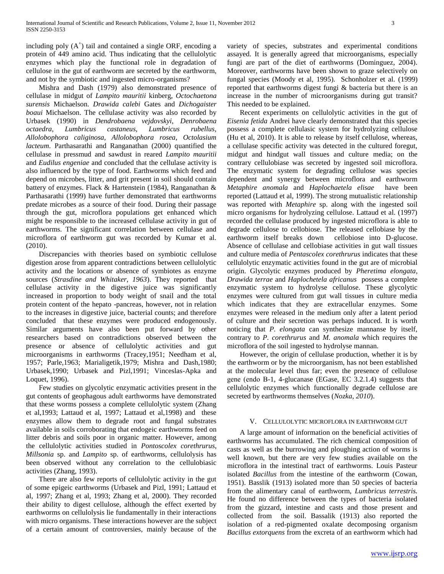including poly  $(A^+)$  tail and contained a single ORF, encoding a protein of 449 amino acid. Thus indicating that the cellulolytic enzymes which play the functional role in degradation of cellulose in the gut of earthworm are secreted by the earthworm, and not by the symbiotic and ingested micro-organisms?

 Mishra and Dash (1979) also demonstrated presence of cellulase in midgut of *Lampito mauritii* kinberg, *Octochaetona surensis* Michaelson. *Drawida calebi* Gates and *Dichogaister boaui* Michaelson. The cellulase activity was also recorded by Urbasek (1990) in *Dendrobaena vejdovskyi, Denrobaena octaedra, Lumbricus castaneus, Lumbricus rubellus, Allolobophora caliginosa, Allolobophora rosea, Octolasium lacteum*. Parthasarathi and Ranganathan (2000) quantified the cellulase in pressmud and sawdust in reared *Lampito mauritii* and *Eudilus engeniae* and concluded that the cellulase activity is also influenced by the type of food. Earthworms which feed and depend on microbes, litter, and grit present in soil should contain battery of enzymes. Flack & Hartenstein (1984), Ranganathan & Parthasarathi (1999) have further demonstrated that earthworms predate microbes as a source of their food. During their passage through the gut, microflora populations get enhanced which might be responsible to the increased cellulase activity in gut of earthworms. The significant correlation between cellulase and microflora of earthworm gut was recorded by Kumar et al. (2010).

 Discrepancies with theories based on symbiotic cellulose digestion arose from apparent contradictions between cellulolytic activity and the locations or absence of symbiotes as enzyme sources (*Strasdine and Whitaker, 1963*). They reported that cellulase activity in the digestive juice was significantly increased in proportion to body weight of snail and the total protein content of the hepato -pancreas, however, not in relation to the increases in digestive juice, bacterial counts; and therefore concluded that these enzymes were produced endogenously. Similar arguments have also been put forward by other researchers based on contradictions observed between the presence or absence of cellulolytic activities and gut microorganisms in earthworms (Tracey,1951; Needham et al, 1957; Parle,1963; Marialigetik,1979; Mishra and Dash,1980; Urbasek,1990; Urbasek and Pizl,1991; Vinceslas-Apka and Loquet, 1996).

 Few studies on glycolytic enzymatic activities present in the gut contents of geophagous adult earthworms have demonstrated that these worms possess a complete cellulolytic system (Zhang et al,1993; Lattaud et al, 1997; Lattaud et al,1998) and these enzymes allow them to degrade root and fungal substrates available in soils corroborating that endogeic earthworms feed on litter debris and soils poor in organic matter. However, among the cellulolytic activities studied in *Pontoscolex corethrurus*, *Millsonia* sp. and *Lampito* sp. of earthworms, cellulolysis has been observed without any correlation to the cellulobiasic activities (Zhang, 1993).

 There are also few reports of cellulolytic activity in the gut of some epigeic earthworms (Urbasek and Pizl, 1991; Lattaud et al, 1997; Zhang et al, 1993; Zhang et al, 2000). They recorded their ability to digest cellulose, although the effect exerted by earthworms on cellulolysis lie fundamentally in their interactions with micro organisms. These interactions however are the subject of a certain amount of controversies, mainly because of the

variety of species, substrates and experimental conditions assayed. It is generally agreed that microorganisms, especially fungi are part of the diet of earthworms (Dominguez, 2004). Moreover, earthworms have been shown to graze selectively on fungal species (Moody et al, 1995). Schonholzer et al. (1999) reported that earthworms digest fungi & bacteria but there is an increase in the number of microorganisms during gut transit? This needed to be explained.

 Recent experiments on cellulolytic activities in the gut of *Eisenia fetida* Andrei have clearly demonstrated that this species possess a complete cellulasic system for hydrolyzing cellulose (Hu et al, 2010). It is able to release by itself cellulose, whereas, a cellulase specific activity was detected in the cultured foregut, midgut and hindgut wall tissues and culture media; on the contrary cellulobiase was secreted by ingested soil microflora. The enzymatic system for degrading cellulose was species dependent and synergy between microflora and earthworm *Metaphire anomala* and *Haplochaetela elisae* have been reported (Lattaud et al, 1999). The strong mutualistic relationship was reported with *Metaphire* sp. along with the ingested soil micro organisms for hydrolyzing cellulose. Lattaud et al. (1997) recorded the cellulase produced by ingested microflora is able to degrade cellulose to cellobiose. The released cellobiase by the earthworm itself breaks down cellobiose into D-glucose. Absence of cellulase and cellobiase activities in gut wall tissues and culture media of *Pentascolex corethrurus* indicates that these cellulolytic enzymatic activities found in the gut are of microbial origin. Glycolytic enzymes produced by *Pheretima elongata*, *Drawida terrae* and *Haplochetela africanus* possess a complete enzymatic system to hydrolyse cellulose. These glycolytic enzymes were cultured from gut wall tissues in culture media which indicates that they are extracellular enzymes. Some enzymes were released in the medium only after a latent period of culture and their secretion was perhaps induced. It is worth noticing that *P. elongata* can synthesize mannanse by itself, contrary to *P. corethrurus* and *M. anomala* which requires the microflora of the soil ingested to hydrolyse mannan.

 However, the origin of cellulase production, whether it is by the earthworm or by the microorganism, has not been established at the molecular level thus far; even the presence of cellulose gene (endo Β-1, 4-glucanase (EGase, EC 3.2.1.4) suggests that cellulolytic enzymes which functionally degrade cellulose are secreted by earthworms themselves (*Nozka, 2010*).

# V. CELLULOLYTIC MICROFLORA IN EARTHWORM GUT

 A large amount of information on the beneficial activities of earthworms has accumulated. The rich chemical composition of casts as well as the burrowing and ploughing action of worms is well known, but there are very few studies available on the microflora in the intestinal tract of earthworms. Louis Pasteur isolated *Bacillus* from the intestine of the earthworm (Cowan, 1951). Basslik (1913) isolated more than 50 species of bacteria from the alimentary canal of earthworm, *Lumbricus terrestris.* He found no difference between the types of bacteria isolated from the gizzard, intestine and casts and those present and collected from the soil. Bassalik (1913) also reported the isolation of a red-pigmented oxalate decomposing organism *Bacillus extorquens* from the excreta of an earthworm which had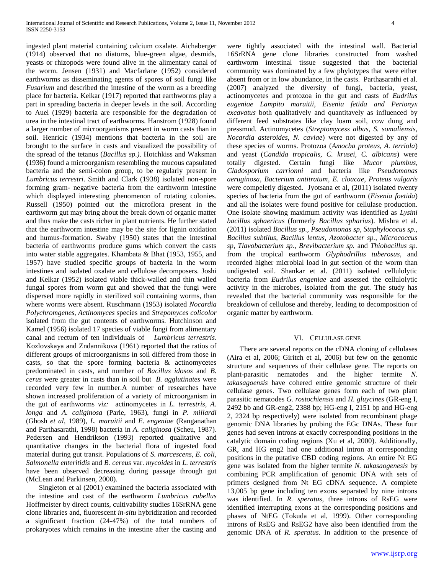ingested plant material containing calcium oxalate. Aichaberger (1914) observed that no diatoms, blue-green algae, desmids, yeasts or rhizopods were found alive in the alimentary canal of the worm. Jensen (1931) and Macfarlane (1952) considered earthworms as disseminating agents of spores of soil fungi like *Fusarium* and described the intestine of the worm as a breeding place for bacteria. Kelkar (1917) reported that earthworms play a part in spreading bacteria in deeper levels in the soil. According to Auel (1929) bacteria are responsible for the degradation of urea in the intestinal tract of earthworms. Hanstrom (1928) found a larger number of microorganisms present in worm casts than in soil. Henricic (1934) mentions that bacteria in the soil are brought to the surface in casts and visualized the possibility of the spread of the tetanus (*Bacillus sp.)*. Hotchkiss and Waksman **(**1936**)** found a microorganism resembling the mucous capsulated bacteria and the semi-colon group, to be regularly present in *Lumbricus terrestri*. Smith and Clark (1938) isolated non-spore forming gram- negative bacteria from the earthworm intestine which displayed interesting phenomenon of rotating colonies. Russell (1950) pointed out the microflora present in the earthworm gut may bring about the break down of organic matter and thus make the casts richer in plant nutrients. He further stated that the earthworm intestine may be the site for lignin oxidation and humus-formation. Swaby (1950) states that the intestinal bacteria of earthworms produce gums which convert the casts into water stable aggregates. Khambata & Bhat (1953, 1955, and 1957) have studied specific groups of bacteria in the worm intestines and isolated oxalate and cellulose decomposers. Joshi and Kelkar (1952) isolated viable thick-walled and thin walled fungal spores from worm gut and showed that the fungi were dispersed more rapidly in sterilized soil containing worms, than where worms were absent. Ruschmann (1953) isolated *Nocardia Polychromgenes, Actinomyces* species and *Strepomyces colicolor* isolated from the gut contents of earthworms. Hutchinson and Kamel (1956) isolated 17 species of viable fungi from alimentary canal and rectum of ten individuals of *Lumbricus terrestris*. Kozlovskaya and Zndannikova (1961) reported that the ratios of different groups of microorganisms in soil differed from those in casts, so that the spore forming bacteria & actinomycetes predominated in casts, and number of *Bacillus idosos* and *B. cerus* were greater in casts than in soil but *B. agglutinates* were recorded very few in number.A number of researches have shown increased proliferation of a variety of microorganism in the gut of earthworms *viz:* actinomycetes in *L. terrestris*, *A. longa* and *A. caliginosa* (Parle, 1963), fungi in *P. millardi* (Ghosh *et al,* 1989), *L. maruitii* and *E. engeniae* (Ranganathan and Parthasarathi, 1998) bacteria in *A. caliginosa* (Scheu, 1987). Pedersen and Hendrikson (1993) reported qualitative and quantitative changes in the bacterial flora of ingested food material during gut transit. Populations of *S. marcescens, E. coli, Salmonella enteritidis* and *B. cereus* var. *mycoides* in *L. terrestris*  have been observed decreasing during passage through gut (McLean and Parkinsen, 2000).

 Singleton et al (2001) examined the bacteria associated with the intestine and cast of the earthworm *Lumbricus rubellus* Hoffmeister by direct counts, cultivability studies 16SrRNA gene clone libraries and, fluorescent *in-situ* hybridization and recorded a significant fraction (24-47%) of the total numbers of prokaryotes which remains in the intestine after the casting and

were tightly associated with the intestinal wall. Bacterial 16SrRNA gene clone libraries constructed from washed earthworm intestinal tissue suggested that the bacterial community was dominated by a few phylotypes that were either absent from or in low abundance, in the casts. Parthasarathi et al. (2007) analyzed the diversity of fungi, bacteria, yeast, actinomycetes and protozoa in the gut and casts of *Eudrilus eugeniae Lampito maruitii, Eisenia fetida and Perionyx excavatus* both qualitatively and quantitavely as influenced by different feed substrates like clay loam soil, cow dung and pressmud. Actinomycetes (*Streptomycess albus*, *S. somaliensis*, *Nocardia asteroides*, *N. caviae*) were not digested by any of these species of worms. Protozoa (*Amocba proteus, A. terriola*) and yeast (*Candida tropicalis, C. krusei, C. albicans*) were totally digested. Certain fungi like *Mucor plumbus*, *Cladosporium carrionni* and bacteria like *Pseudomonas aeruginosa*, *Bacterium antitratum*, *E. cloacae*, *Proteus vulgaris* were compeletly digested. Jyotsana et al, (2011) isolated twenty species of bacteria from the gut of earthworm (*Eisenia foetida*) and all the isolates were found positive for cellulase production. One isolate showing maximum activity was identified as *Lysini bacillus sphaericus* (formerly *Bacillus spharius*). Mishra et al. (2011) isolated *Bacillus sp., Pseudomonas sp, Staphylococus sp., Bacillus subtilus, Bacillus lentus, Azotobacter sp., Micrococcus sp, Tlavobacterium sp., Brevibacterium sp.* and *Thiobacillus sp.* from the tropical earthworm *Glyphodrillus tuberosus*, and recorded higher microbial load in gut section of the worm than undigested soil. Shankar et al. (2011) isolated cellulolytic bacteria from *Eudrilus engeniae* and assessed the cellulolytic activity in the microbes, isolated from the gut. The study has revealed that the bacterial community was responsible for the breakdown of cellulose and thereby, leading to decomposition of organic matter by earthworm.

# VI. CELLULASE GENE

 There are several reports on the cDNA cloning of cellulases (Aira et al, 2006; Giritch et al, 2006) but few on the genomic structure and sequences of their cellulase gene. The reports on plant-parasitic nematodes and the higher termite *N. takasagoensis* have cohered entire genomic structure of their cellulase genes. Two cellulase genes form each of two plant parasitic nematodes *G. rostochiensis* and *H. gluycines* (GR-eng I, 2492 bb and GR-eng2, 2388 bp; HG-eng I, 2151 bp and HG-eng 2, 2324 bp respectively) were isolated from recombinant phage genomic DNA libraries by probing the EGc DNAs. These four genes had seven introns at exactly corresponding positions in the catalytic domain coding regions (Xu et al, 2000). Additionally, GR, and HG eng2 had one additional intron at corresponding positions in the putative CBD coding regions. An entire Nt EG gene was isolated from the higher termite *N. takasaogenesis* by combining PCR amplification of genomic DNA with sets of primers designed from Nt EG cDNA sequence. A complete 13,005 bp gene including ten exons separated by nine introns was identified. In *R. speratus*, three introns of RsEG were identified interrupting exons at the corresponding positions and phases of NtEG (Tokuda et al, 1999). Other corresponding introns of RsEG and RsEG2 have also been identified from the genomic DNA of *R. speratus*. In addition to the presence of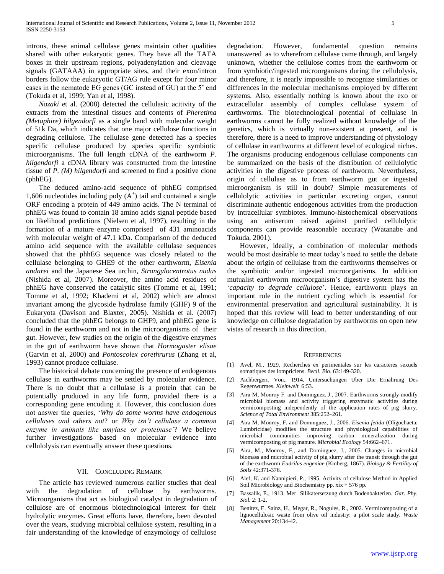introns, these animal cellulase genes maintain other qualities shared with other eukaryotic genes. They have all the TATA boxes in their upstream regions, polyadenylation and cleavage signals (GATAAA) in appropriate sites, and their exon/intron borders follow the eukaryotic GT/AG rule except for four minor cases in the nematode EG genes (GC instead of GU) at the 5' end (Tokuda et al, 1999; Yan et al, 1998).

 *Nozaki* et al. (2008) detected the cellulasic acitivity of the extracts from the intestinal tissues and contents of *Pheretima (Metaphire) hilgendorfi* as a single band with molecular weight of 51k Da, which indicates that one major cellulose functions in degrading cellulose. The cellulase gene detected has a species specific cellulase produced by species specific symbiotic microorganisms. The full length cDNA of the earthworm *P. hilgendorfi* a cDNA library was constructed from the intestine tissue of *P. (M) hilgendorfi* and screened to find a positive clone (phhEG).

 The deduced amino-acid sequence of phhEG comprised 1,606 nucleotides including poly  $(A^+)$  tail and contained a single ORF encoding a protein of 449 amino acids. The N terminal of phhEG was found to contain 18 amino acids signal peptide based on likelihood predictions (Nielsen et al, 1997), resulting in the formation of a mature enzyme comprised of 431 aminoacids with molecular weight of 47.1 kDa. Comparison of the deduced amino acid sequence with the available cellulase sequences showed that the phhEG sequence was closely related to the cellulase belonging to GHE9 of the other earthworm, *Eisenia andarei* and the Japanese Sea urchin, *Strongylocentrotus nudus* (Nishida et al, 2007). Moreover, the amino acid residues of phhEG have conserved the catalytic sites (Tomme et al, 1991; Tomme et al, 1992; Khademi et al, 2002) which are almost invariant among the glycoside hydrolase family (GHF) 9 of the Eukaryota (Davison and Blaxter, 2005). Nishida et al. (2007) concluded that the phhEG belongs to GHF9, and phhEG gene is found in the earthworm and not in the microorganisms of their gut. However, few studies on the origin of the digestive enzymes in the gut of earthworm have shown that *Hormogaster elisae* (Garvin et al, 2000) and *Pontoscolex corethrurus* (Zhang et al, 1993) cannot produce cellulase.

 The historical debate concerning the presence of endogenous cellulase in earthworms may be settled by molecular evidence. There is no doubt that a cellulase is a protein that can be potentially produced in any life form, provided there is a corresponding gene encoding it. However, this conclusion does not answer the queries, '*Why do some worms have endogenous cellulases and others not*? or *Why isn't cellulase a common enzyme in animals like amylase or proteinase'*? We believe further investigations based on molecular evidence into cellulolysis can eventually answer these questions.

# VII. CONCLUDING REMARK

 The article has reviewed numerous earlier studies that deal with the degradation of cellulose by earthworms. Microorganisms that act as biological catalyst in degradation of cellulose are of enormous biotechnological interest for their hydrolytic enzymes. Great efforts have, therefore, been devoted over the years, studying microbial cellulose system, resulting in a fair understanding of the knowledge of enzymology of cellulose degradation. However, fundamental question remains unanswered as to wherefrom cellulase came through, and largely unknown, whether the cellulose comes from the earthworm or from symbiotic/ingested microorganisms during the cellulolysis, and therefore, it is nearly impossible to recognize similarities or differences in the molecular mechanisms employed by different systems. Also, essentially nothing is known about the exo or extracellular assembly of complex cellulase system of earthworms. The biotechnological potential of cellulase in earthworms cannot be fully realized without knowledge of the genetics, which is virtually non-existent at present, and is therefore, there is a need to improve understanding of physiology of cellulase in earthworms at different level of ecological niches. The organisms producing endogenous cellulase components can be summarized on the basis of the distribution of cellulolytic activities in the digestive process of earthworm. Nevertheless, origin of cellulase as to from earthworm gut or ingested microorganism is still in doubt? Simple measurements of cellulolytic activities in particular excreting organ, cannot discriminate authentic endogenous activities from the production by intracellular symbiotes. Immuno-histochemical observations using an antiserum raised against purified cellulolytic components can provide reasonable accuracy (Watanabe and Tokuda, 2001).

 However, ideally, a combination of molecular methods would be most desirable to meet today's need to settle the debate about the origin of cellulase from the earthworms themselves or the symbiotic and/or ingested microorganisms. In addition mutualist earthworm microorganism's digestive system has the '*capacity to degrade cellulose*'. Hence, earthworm plays an important role in the nutrient cycling which is essential for environmental preservation and agricultural sustainability. It is hoped that this review will lead to better understanding of our knowledge on cellulose degradation by earthworms on open new vistas of research in this direction.

#### **REFERENCES**

- [1] Avel, M., 1929. Recherches ex perimentales sur les caracteres sexuels somatiques des lompriciens. *Becll. Bio*. 63:149-320.
- [2] Aichbergerr, Von., 1914. Untersuchungen Uber Die Ernahrung Des Regenwurmes. *Kleinwelt* 6:53.
- [3] Aira M, Monroy F. and Domınguez, J., 2007. Earthworms strongly modify microbial biomass and activity triggering enzymatic activities during vermicomposting independently of the application rates of pig slurry. *Science of Total Environment* 385:252–261.
- [4] Aira M, Monroy, F. and Domınguez, J., 2006. *Eisenia fetida* (Oligochaeta: Lumbricidae) modifies the structure and physiological capabilities of microbial communities improving carbon mineralization during vermicomposting of pig manure. *Microbial Ecology* 54:662–671.
- [5] Aira, M., Monroy, F., and Dominguez, J., 2005. Changes in microbial biomass and microbial activity of pig slurry after the transit through the gut of the earthworm *Eudrilus engeniae* (Kinberg, 1867). *Biology & Fertility of Soils* 42:371-376.
- [6] [Alef, K.](http://www.cabdirect.org/search.html?q=ed%3A%22Alef%2C+K.%22) and Nannipieri, P., 1995. Activity of cellulose Method in Applied Soil Microbiology and Biochemistry pp.  $xix + 576$  pp.
- [7] Bassalik, E., 1913. Mer Silikatersetzung durch Bodenbakterien. *Gar. Phy. Siol.* 2: 1-2.
- [8] Benitez, E. Sainz, H., Megar, R., Nogules, R., 2002. Vermicomposting of a lignocellulosic waste from olive oil industry: a pilot scale study. *Waste Management* 20:134-42.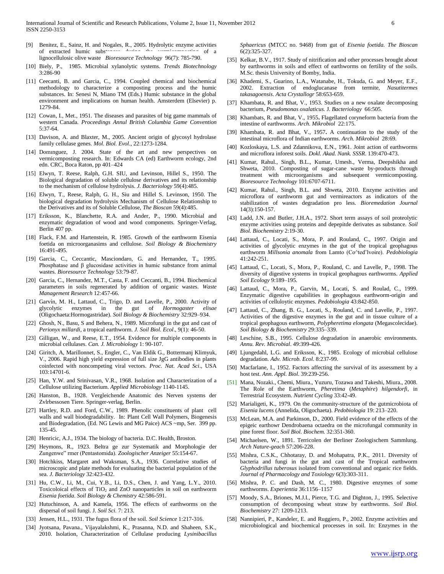- [9] Benitez, E., Sainz, H. and Nogales, R., 2005. Hydrolytic enzyme activities of extracted humic substances during the vermicomposition of a lignocellulosic olive waste *Bioresource Technology* 96(7): 785-790.
- [10] Biely, P., 1985. Microbial xylanolytic systems. *Trends Biotechnology* 3:286-90
- [11] Ceecanti, B. and Garcia, C., 1994. Coupled chemical and biochemical methodology to characterize a composting process and the humic substances. In: Senesi N, Miano TM (Eds.) Humic substance in the global environment and implications on human health. Amsterdem (Elsevier) p. 1279-84.
- [12] Cowan, I., Met., 1951. The diseases and parasites of big game mammals of western Canada. *Proceedings Annul British Columbia Game Convention* 5:37-64.
- [13] Davison, A. and Blaxter, M., 2005. Ancient origin of glycosyl hydrolase family cellulase genes. *Mol. Biol. Evol*., 22:1273-1284.
- [14] Domınguez, J. 2004. State of the art and new perspectives on vermicomposting research. In: Edwards CA (ed) Earthworm ecology, 2nd edn. CRC, Boca Raton, pp 401–424
- [15] Elwyn, T. Reese, Ralph, G.H. SIU, and Levinson, Hillel S., 1950. The Biological degradation of soluble cellulose derivatives and its relationship to the mechanism of cellulose hydrolysis. *J. Bacteriology* 59(4):485.
- [16] Elwyn, T., Reese, Ralph, G. H., Siu and Hillel S. Levinson, 1950. The biological degradation hydrolysis Mechanism of Cellulose Relationship to the Derivatives and its of Soluble Cellulose, *The Bioscan* 59(4):485.
- [17] Eriksson, K., Blanchette, R.A. and Ander, P., 1990. Microbial and enzymatic degradation of wood and wood components. Springer-Verlag, Berlin 407 pp.
- [18] Flack, F.M. and Hartenstein, R. 1985. Growth of the earthworm Eisenia foetida on microorganasims and cellulose. *Soil Biology & Biochemistry* 16:491-495.
- [19] Garcia, C., Ceccantic, Masciondaro, G. and Hernandez, T., 1995. Phosphatase and  $\beta$  glucosidase activities in humic substance from animal wastes. *Bioresource Technology* 53:79-87.
- [20] Garcia, C., Hernandez, M.T., Casta, F. and Ceccanti, B., 1994. Biochemical parameters in soils regenerated by addition of organic wastes. *Waste Management Research* 12:457-66.
- [21] Garvín, M. H., Lattaud, C., Trigo, D. and Lavelle, P., 2000. Activity of glycolytic enzymes in the gut of *Hormogaster elisae* (Oligochaeta:Hormogastridae). *Soil Biology & Biochemistry* 32:929–934.
- [22] Ghosh, N., Basu, S and Behera, N., 1989. Microfungi in the gut and cast of *Perionyx millardi*, a tropical earthworm. *J. Soil Biol. Ecol*., 9(1): 46-50.
- [23] Gilligan, W., and Reese, E.T., 1954. Evidence for multiple components in microbial cellulases. *Can. J. Microbiology* 1: 90-107.
- [24] Giritch, A, Marillonnet, S., Engler, C., Van Eldik G., Bottermanj Klimyuk, V., 2006. Rapid high yield expression of full size JgG antibodies in plants coinfected with noncompeting viral vectors. *Proc. Nat. Acad Sci*., USA 103:14701-6.
- [25] Han, Y.W. and Srinivasan, V.R., 1968. Isolation and Characterization of a Cellulose utilizing Bacterium. *Applied Microbiology* 1140-1145.
- [26] Hanston, B., 1928. Vergleichende Anatomic des Nerven systems der Zvlrbessosen Tiere. Springer-verlag, Berlin.
- [27] Hartley, R.D. and Ford, C.W., 1989. Phenolic constituents of plant cell walls and wall biodegradability. In: Plant Cell Wall Polymers, Biogenesis and Biodegradation, (Ed. NG Lewis and MG Paice) ACS ~mp, Ser. 399 pp. 135-45.
- [28] Henricic, A.J., 1934. The biology of bacteria. D.C. Health, Broston.
- [29] Heymons, R., 1923. Beltra ge zur Systematik and Morphologie der Zungenwe" rmer (Pentastomida). *Zoologischer Anzeiger* 55:154-67.
- [30] Hotchkiss, Margaret and Waksman, S.A., 1936. Correlative studies of microscopic and plate methods for evaluating the bacterial population of the sea. *J. Bacteriology* 32:423-432.
- [31] Hu, C.W., Li, M., Cui, Y.B., Li, D.S., Chen, J. and Yang, L.Y., 2010. Toxicoloical effects of TiO<sub>2</sub> and ZnO nanoparticles in soil on earthworm *Eisenia foetida*. *Soil Biology & Chemistry* 42:586-591.
- [32] Hutuchinson, A. and Kamela, 1956. The effects of earthworms on the dispersal of soil fungi. J. *Soil Sci.* 7: 213.
- [33] Jensen, H.L., 1931. The fugus flora of the soil. *Soil Science* 1:217-316.
- [34] Jyotsana, Pavana., Vijayalakshmi, K., Prasanna, N.D. and Shaheen, S.K., 2010. Isolation, Characterization of Cellulase producing *Lysinibacillus*

*Sphaericus* (MTCC no. 9468) from gut of *Eisenia foetida. The Bioscan* 6(2):325-327.

- [35] Kelkar, B.V., 1917. Study of nitrification and other processes brought about by earthworms in soils and effect of earthworms on fertility of the soils. M.Sc. thesis University of Bomby, India.
- [36] Khademi, S., Guarino, L.A., Watanabe, H., Tokuda, G. and Meyer, E.F., 2002. Extraction of endoglucanase from termite, *Nasutitermes takasagoensis*. *Acta Crystallogr* 58:653-659.
- [37] Khambata, R. and Bhat, V., 1953. Studies on a new oxalate decomposing bacterium, *Pseudomonas oxalaticus.* J. *Bacteriology* 66:505.
- [38] Khambats, R. and Bhat, V., 1955**.** Flagellated coryneform bacteria from the intestine of earthworms. *Arch. Mikrobiol* 22:175.
- [39] Khambata, R. and Bhat, V., 1957**.** A continuation to the study of the intestinal microflora of Indian earthworms. *Arch. Mikrobiol* 28:69.
- [40] Kozloskaya, L.S. and Zdannikova, E.N., 1961. Joint action of earthworms and microflora inforest soils. *Dokl. Akad. Nank. SSSR*. 139:470-473.
- [41] Kumar, Rahul., Singh, B.L., Kumar, Umesh., Verma, Deepshikha and Shweta, 2010. Composting of sugar-cane waste by-products through treatment with microorganisms and subsequent vermicomposting. *Bioresource Technology* 101:6707-6711.
- [42] Kumar, Rahul., Singh, B.L. and Shweta, 2010. Enzyme activities and microflora of earthworm gut and vermireactors as indicators of the stabilization of wastes degradation pro less. *Bioremedation Journal* 14(3):150-157.
- [43] Ladd, J.N. and Butler, J.H.A., 1972. Short term assays of soil proteolytic enzyme activities using proteins and depepitde derivates as substance. *Soil Biol. Biochemistry* 2:19-30.
- [44] Lattaud, C., Locati, S., Mora, P. and Rouland, C., 1997. Origin and activities of glycolytic enzymes in the gut of the tropical geophagous earthworm *Millsonia anomala* from Lamto (Co^ted'lvoire). *Pedobiologia* 41:242-251.
- [45] Lattaud, C., Locati, S., Mora, P., Rouland, C. and Lavelle, P., 1998. The diversity of digestive systems in tropical geophagous earthworms. *Applied Soil Ecology* 9:189–195.
- [46] Lattaud, C., Mora, P., Garvin, M., Locati, S. and Roulad, C., 1999. Enzymatic digestive capabilities in geophagous earthworm-origin and activities of celluloytic enzymes. *Pedobiologia* 43:842-850.
- [47] Lattaud, C., Zhang, B. G., Locati, S., Rouland, C. and Lavelle, P., 1997. Activities of the digestive enzymes in the gut and in tissue culture of a tropical geophagous earthworm, *Polypheretima elongata* (Megascolecidae). *Soil Biology & Biochemistry* 29:335–339.
- [48] Leschine, S.B., 1995. Cellulose degradation in anaerobic environments. *Annu. Rev. Microbial*. 49:399-426.
- [49] Ljungedahl, L.G. and Eriksson, K., 1985. Ecology of microbial cellulose degradation. *Adv. Microb. Ecol*. 8:237-99.
- [50] Macfarlane, I., 1952. Factors affecting the survival of its assessment by a host test. *Ann. Appl. Biol*. 39:239-256.
- [51] Mana, Nozaki., Chemi, Miura., Yuzuru, Tozawa and Takeshi, Miura., 2008. The Role of the Earthworm, *Pheretima* (*Metaphire*) *hilgendorfi*, in Terrestrial Ecosystem. *Nutrient Cycling* 33:42-49.
- [52] Marialigeti, K., 1979. On the community-structure of the gutmicrobiota of *Eisenia lucens* (Annelida, Oligochaeta). *Pedobiologia* 19: 213–220.
- [53] McLean, M.A. and Parkinson, D., 2000. Field evidence of the effects of the epigeic earthowr Dendrobaena octaedra on the microfungal community in pine forest floor. *Soil Biol. Biochem.* 32:351-360.
- [54] Michaelsen, W., 1891. Terricolen der Berliner Zoologischem Sammlung. *Arch Nature-geach* 57:206-228.
- [55] Mishra, C.S.K., Chhotaray, D. and Mohapatra, P.K., 2011. Diversity of bacteria and fungi in the gut and cast of the Tropical earthworm *Glyphodrillus tuberosus* isolated from conventional and organic rice fields. *Journal of Pharmacology and Toxiology* 6(3):303-311.
- [56] Mishra, P. C. and Dash, M. C., 1980. Digestive enzymes of some earthworms. *Experientia* 36:1156–1157
- [57] Moody, S.A., Briones, M.J.I., Pierce, T.G. and Dighton, J., 1995. Selective consumption of decomposing wheat straw by earthworms. *Soil Biol. Biochemistry* 27: 1209-1213.
- [58] Nannipieri, P., Kandeler, E. and Ruggiero, P., 2002. Enzyme activities and microbiological and biochemical processes in soil. In: Enzymes in the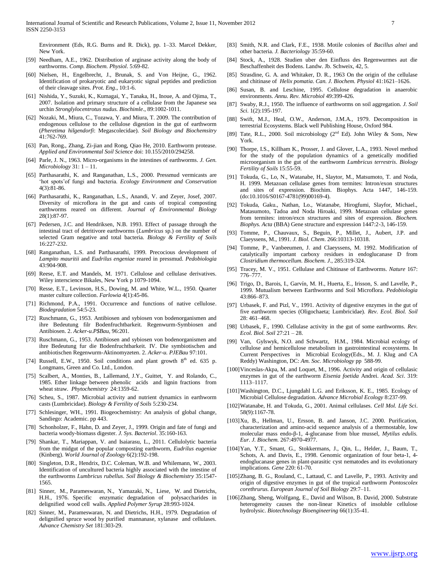Environment (Eds, R.G. Burns and R. Dick), pp. 1–33. Marcel Dekker, New York.

- [59] Needham, A.E., 1962. Distribution of arginase activity along the body of earthworms. *Comp. Biochem. Physiol*. 5:69-82.
- [60] Nielsen, H., Engelbrecht, J., Brunak, S. and Von Heijne, G., 1962. Identification of prokaryotic and eukaryotic signal peptides and prediction of their cleavage sites. *Prot. Eng*., 10:1-6.
- [61] Nishida, Y., Suzuki, K., Kumagai, Y., Tanaka, H., Inoue, A. and Ojima, T., 2007. Isolation and primary structure of a cellulase from the Japanese sea urchin *Stronglylocentrotus nudus. Biochimle*., 89:1002-1011.
- [62] Nozaki, M., Miura, C., Tozawa, Y. and Miura, T. 2009. The contribution of endogenous cellulose to the cellulose digestion in the gut of earthworm (*Pheretima hilgendorfi*: Megascolecidae). *Soil Biology and Biochemsitry* 41:762-769.
- [63] Pan, Rong., Zhang, Zi-jian and Rong, Qiao He, 2010. Earthworm protease. *Applied and Environmental Soil Science* doi: 10.155/2010/294258.
- [64] Parle, J. N., 1963. Micro-organisms in the intestines of earthworms. *J. Gen. Microbiology* 31: 1 – 11.
- [65] Parthasarathi, K. and Ranganathan, L.S., 2000. Pressmud vermicasts are 'hot spots'of fungi and bacteria. *Ecology Environment and Conservation* 4(3):81-86.
- [66] Parthasarathi, K., Ranganathan, L.S., Anandi, V. and Zeyer, Josef, 2007. Diversity of microflora in the gut and casts of tropical composting earthworms reared on different. *Journal of Environmental Biology* 28(1):87-97.
- [67] Pedersen, J.C. and Hendriksen, N.B. 1993. Effect of passage through the intestinal tract of detritivore earthworms (*Lumbricus* sp.) on the number of selected Gram negative and total bacteria. *Biology & Fertility of Soils* 16:227-232.
- [68] Ranganathan, L.S. and Parthasarathi, 1999. Precocious development of *Lampito mauritii* and *Eudrilus engeniae* reared in pressmud. *Pedobiologia* 43:904-908.
- [69] Reese, E.T. and Mandels, M. 1971. Cellulose and cellulase derivatives. Wiley interscience Bikales, New York p 1079-1094.
- [70] Resse, E.T., Levinson, H.S., Dowing, M. and White, W.L., 1950. Quarter master culture collection. *Farlowia* 4(1):45-86.
- [71] Richmond, P.A., 1991. Occurrence and functions of native cellulose. *Biodegradation* 54:5-23.
- [72] Ruschmann, G., 1953. Antibiosen and sybiosen von bodenorganismen and ihre Bedeutung filr Bodenfruchtbarkeit. Regenwurm-Symbiosen and Antibiosen. 2. *Acker-u.P\$Bau*, 96:201.
- [73] Ruschmann, G., 1953. Antibiosen and sybiosen von bodenorganismen and ihre Bedeutung fur die Bodenfruchtbarkeit. IV. Die symbiotischen and antibiotischen Regenwurm-Aktinomyzeten. 2. *Acker-u. PJEBau* 97:101.
- [74] Russell, E.W., 1950. Soil conditions and plant growth  $8<sup>th</sup>$  ed. 635 p. Longmans, Green and Co. Ltd., London.
- [75] Scalbert, A., Monties, B., Lallemand, J.Y., Guittet, Y. and Rolando, C., 1985. Ether linkage between phenolic acids and lignin fractions from wheat straw. *Phytochemistry* 24:1359-62.
- [76] Scheu, S., 1987. Microbial activity and nutrient dynamics in earthworm casts (Lumbricidae). *Biology & Fertility of Soils* 5:230-234.
- [77] Schlesinger, WH., 1991. Biogeochemistry: An analysis of global change, Sandiego: Academic. pp 443.
- [78] Schonholzer, F., Hahn, D. and Zeyer, J., 1999. Origin and fate of fungi and bacteria woody-biomass digester. *J. Sys. Bacteriol*. 35:160-163.
- [79] Shankar, T., Mariappan, V. and Isaiarasu, L., 2011. Cellulolytic bacteria from the midgut of the popular composting earthworm, *Eudrilus eugeniae* (Kinberg). *World Journal of Zoology* 6(2):192-198.
- [80] Singleton, D.R., Hendrix, D.C. Coleman, W.B. and Whilemann, W., 2003. Identification of uncultured bacteria highly associated with the intestine of the earthworms *Lumbricus rubellus*. *Soil Biology & Biochemistry* 35:1547- 1565.
- [81] Sinner, M., Parameswaran, N., Yamazaki, N., Liese, W. and Dietrichs, H.H., 1976. Specific enzymatic degradation of polysaccharides in delignified wood cell walls. *Applied Polymer Syrup* 28:993-1024.
- [82] Sinner, M., Parameswaran, N. and Dietrichs, H.H., 1979. Degradation of delignified spruce wood by purified mannanase, xylanase and cellulases. *Advance Chemistry Set* 181:303-29.
- [83] Smith, N.R. and Clark, F.E., 1938. Motile colonies of *Bacillus alnei* and other bacteria. *J. Bacteriology* 35:59-60.
- [84] Stock, A., 1928. Studien uber den Einfluss des Regenwurmes aut die Beschaffenheit des Bodens. Landw. Jb. Schweix, 42, 5.
- [85] Strasdine, G. A. and Whitaker, D. R., 1963 On the origin of the cellulase and chitinase of *Helix pomatia*. *Can. J. Biochem. Physiol* 41:1621–1626.
- [86] Susan, B. and Leschine, 1995. Cellulose degradation in anaerobic environments. *Annu. Rev. Microbiol* 49:399-426.
- [87] Swaby, R.J., 1950. The influence of earthworms on soil aggregation. *J. Soil Sci.* 1(2):195-197.
- [88] Swift, M.J., Heal, O.W., Anderson, J.M.A., 1979. Decomposition in terrestrial Ecosystems. Black well Publishing House, Oxford 984.
- [89] Tate, R.L., 2000. Soil microbiology ( $2<sup>nd</sup>$  Ed). John Wiley & Sons, New York.
- [90] Thorpe, I.S., Killham K., Prosser, J. and Glover, L.A., 1993. Novel method for the study of the population dynamics of a genetically modified microorganism in the gut of the earthworm *Lumbricus terrestris*. *Biology Fertility of Soils* 15:55-59.
- [91] Tokuda, G., Lo, N., Watanabe, H., Slaytor, M., Matsumoto, T. and Noda, H. 1999. Metazoan cellulase genes from termites: Intron/exon structures and sites of expression. Biochim. Biophys. Acta 1447, 146-159. (do:10.1016/S0167-4781(99)00169-4).
- [92] Tokuda, Gaku., Nathan, Lo., Watanabe, Hirogfumi, Slayfor, Michael., Matasumoto, Tadoa and Noda Hiroaki, 1999. Metazoan cellulase genes from termites: intron/excn structures and sites of expression. *Biochem. Biophys. Acta* (BBA) Gene structure and expression 1447:2-3, 146-159.
- [93] Tomme, P., Chauvaux, S., Beguin, P., Millet, J., Aubert, J.P. and Claeyssens, M., 1991. *J. Biol. Chem*. 266:10313-10318.
- [94] Tomme, P., Vanbeeumen, J. and Claeyssens, M. 1992. Modification of catalytically important carboxy residues in endoglucanase D from *Clostridium thermocellum. Biochem. J*., 285:319-324.
- [95] Tracey, M. V., 1951. Cellulase and Chitinase of Earthworms. *Nature* 167: 776–777.
- [96] Trigo, D., Barois, I., Garvín, M. H., Huerta, E., Irisson, S. and Lavelle, P., 1999. Mutualism between Earthworms and Soil Microflora. *Pedobiologia* 43:866–873.
- [97] Urbasek, F. and Pizl, V., 1991. Activity of digestive enzymes in the gut of five earthworm species (Oligochaeta; Lumbricidae). *Rev. Ecol. Biol. Soil* 28: 461–468.
- [98] Urbasek, F., 1990. Cellulase activity in the gut of some earthworms. *Rev. Ecol. Biol. Soil* 27:21 – 28.
- [99] Van, Gylswyk, N.O. and Schwartz, H.M., 1984. Microbial ecology of cellulose and hemicellulose metabolism in gastrointestinal ecosystems. In Current Perspectives in Microbial Ecology(Eds., M. J. Klug and CA Reddy) Washington, DC: *Am. Soc. Microbiology* pp 588-99.
- [100] Vinceslas-Akpa, M. and Loquet, M., 1996. Activity and origin of cellulasic enzymes in gut of the earthworm *Eisenia foetida* Andrei. *Acad. Sci*. 319: 1113–1117.
- [101]Washington, D.C., Ljungdahl L.G. and Eriksson, K. E., 1985. Ecology of Microbial Cellulose degradation. *Advance Microbial Ecology* 8:237-99.
- [102]Watanabe, H. and Tokuda, G., 2001. Animal cellulases. *Cell Mol. Life Sci*. 58(9):1167-78.
- [103]Xu, B., Hellman, U., Ersson, B. and Janson, J.C. 2000. Purification, characterization and amino-acid sequence analysis of a thermostable, low molecular mass endo-β-1, 4-glucanase from blue mussel, *Mytilus edulis. Eur. J. Biochem.* 267:4970-4977.
- [104]Yan, Y.T., Smant, G., Stokkermans, J., Qin, L., Helder, J., Baum, T., Schots, A. and Davis, E., 1998. Genomic organization of four beta-1, 4 endoglucanase genes in plant-parasitic cyst nematodes and its evolutionary implications. *Gene* 220: 61-70.
- [105]Zhang, B. G., Rouland, C., Lattaud, C. and Lavelle, P., 1993. Activity and origin of digestive enzymes in gut of the tropical earthworm *Pontoscolex corethrurus. European Journal of Soil Biology* 29:7–11.
- [106]Zhang, Sheng, Wolfgang, E., David and Wilson, B. David, 2000. Substrate heterogeneity causes the non-linear Kinetics of insoluble cellulose hydrolysic. *Biotechnology Bioengineering* 66(1):35-41.